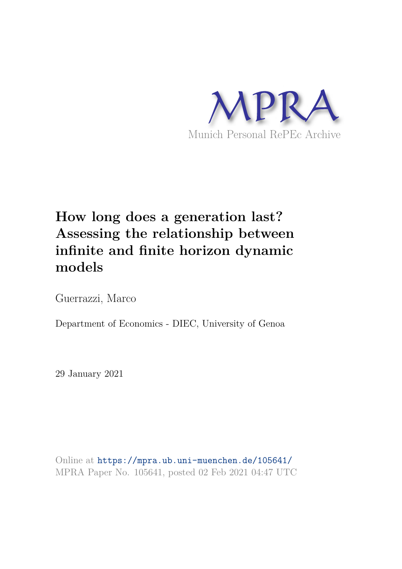

## **How long does a generation last? Assessing the relationship between infinite and finite horizon dynamic models**

Guerrazzi, Marco

Department of Economics - DIEC, University of Genoa

29 January 2021

Online at https://mpra.ub.uni-muenchen.de/105641/ MPRA Paper No. 105641, posted 02 Feb 2021 04:47 UTC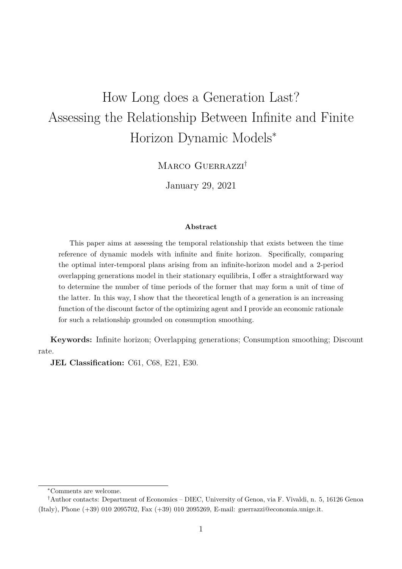# How Long does a Generation Last? Assessing the Relationship Between Infinite and Finite Horizon Dynamic Models<sup>∗</sup>

MARCO GUERRAZZI<sup>†</sup>

January 29, 2021

#### **Abstract**

This paper aims at assessing the temporal relationship that exists between the time reference of dynamic models with infinite and finite horizon. Specifically, comparing the optimal inter-temporal plans arising from an infinite-horizon model and a 2-period overlapping generations model in their stationary equilibria, I offer a straightforward way to determine the number of time periods of the former that may form a unit of time of the latter. In this way, I show that the theoretical length of a generation is an increasing function of the discount factor of the optimizing agent and I provide an economic rationale for such a relationship grounded on consumption smoothing.

**Keywords:** Infinite horizon; Overlapping generations; Consumption smoothing; Discount rate.

**JEL Classification:** C61, C68, E21, E30.

<sup>∗</sup>Comments are welcome.

<sup>†</sup>Author contacts: Department of Economics – DIEC, University of Genoa, via F. Vivaldi, n. 5, 16126 Genoa (Italy), Phone (+39) 010 2095702, Fax (+39) 010 2095269, E-mail: guerrazzi@economia.unige.it.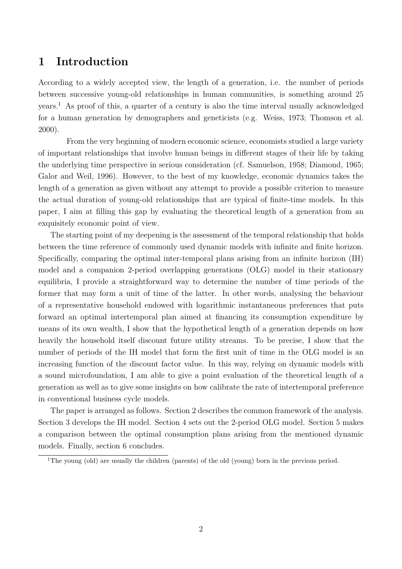#### **1 Introduction**

According to a widely accepted view, the length of a generation, i.e. the number of periods between successive young-old relationships in human communities, is something around 25 years.<sup>1</sup> As proof of this, a quarter of a century is also the time interval usually acknowledged for a human generation by demographers and geneticists (e.g. Weiss, 1973; Thomson et al. 2000).

From the very beginning of modern economic science, economists studied a large variety of important relationships that involve human beings in different stages of their life by taking the underlying time perspective in serious consideration (cf. Samuelson, 1958; Diamond, 1965; Galor and Weil, 1996). However, to the best of my knowledge, economic dynamics takes the length of a generation as given without any attempt to provide a possible criterion to measure the actual duration of young-old relationships that are typical of finite-time models. In this paper, I aim at filling this gap by evaluating the theoretical length of a generation from an exquisitely economic point of view.

The starting point of my deepening is the assessment of the temporal relationship that holds between the time reference of commonly used dynamic models with infinite and finite horizon. Specifically, comparing the optimal inter-temporal plans arising from an infinite horizon (IH) model and a companion 2-period overlapping generations (OLG) model in their stationary equilibria, I provide a straightforward way to determine the number of time periods of the former that may form a unit of time of the latter. In other words, analysing the behaviour of a representative household endowed with logarithmic instantaneous preferences that puts forward an optimal intertemporal plan aimed at financing its consumption expenditure by means of its own wealth, I show that the hypothetical length of a generation depends on how heavily the household itself discount future utility streams. To be precise, I show that the number of periods of the IH model that form the first unit of time in the OLG model is an increasing function of the discount factor value. In this way, relying on dynamic models with a sound microfoundation, I am able to give a point evaluation of the theoretical length of a generation as well as to give some insights on how calibrate the rate of intertemporal preference in conventional business cycle models.

The paper is arranged as follows. Section 2 describes the common framework of the analysis. Section 3 develops the IH model. Section 4 sets out the 2-period OLG model. Section 5 makes a comparison between the optimal consumption plans arising from the mentioned dynamic models. Finally, section 6 concludes.

<sup>&</sup>lt;sup>1</sup>The young (old) are usually the children (parents) of the old (young) born in the previous period.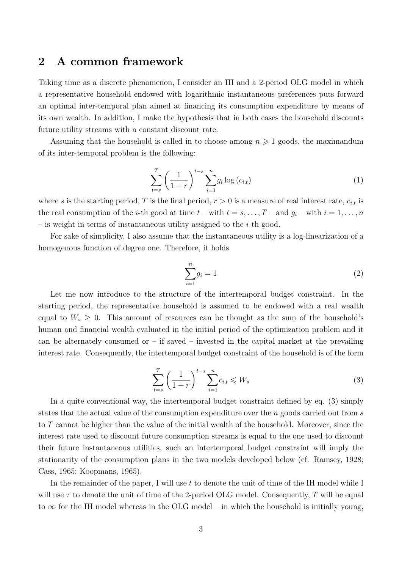#### **2 A common framework**

Taking time as a discrete phenomenon, I consider an IH and a 2-period OLG model in which a representative household endowed with logarithmic instantaneous preferences puts forward an optimal inter-temporal plan aimed at financing its consumption expenditure by means of its own wealth. In addition, I make the hypothesis that in both cases the household discounts future utility streams with a constant discount rate.

Assuming that the household is called in to choose among  $n \geq 1$  goods, the maximandum of its inter-temporal problem is the following:

$$
\sum_{t=s}^{T} \left(\frac{1}{1+r}\right)^{t-s} \sum_{i=1}^{n} g_i \log(c_{i,t})
$$
\n(1)

where s is the starting period, T is the final period,  $r > 0$  is a measure of real interest rate,  $c_{i,t}$  is the real consumption of the *i*-th good at time  $t$  – with  $t = s, \ldots, T$  – and  $g_i$  – with  $i = 1, \ldots, n$ – is weight in terms of instantaneous utility assigned to the  $i$ -th good.

For sake of simplicity, I also assume that the instantaneous utility is a log-linearization of a homogenous function of degree one. Therefore, it holds

$$
\sum_{i=1}^{n} g_i = 1\tag{2}
$$

Let me now introduce to the structure of the intertemporal budget constraint. In the starting period, the representative household is assumed to be endowed with a real wealth equal to  $W_s \geq 0$ . This amount of resources can be thought as the sum of the household's human and financial wealth evaluated in the initial period of the optimization problem and it can be alternately consumed or  $-$  if saved  $-$  invested in the capital market at the prevailing interest rate. Consequently, the intertemporal budget constraint of the household is of the form

$$
\sum_{t=s}^{T} \left(\frac{1}{1+r}\right)^{t-s} \sum_{i=1}^{n} c_{i,t} \leqslant W_s \tag{3}
$$

In a quite conventional way, the intertemporal budget constraint defined by eq. (3) simply states that the actual value of the consumption expenditure over the  $n$  goods carried out from s to T cannot be higher than the value of the initial wealth of the household. Moreover, since the interest rate used to discount future consumption streams is equal to the one used to discount their future instantaneous utilities, such an intertemporal budget constraint will imply the stationarity of the consumption plans in the two models developed below (cf. Ramsey, 1928; Cass, 1965; Koopmans, 1965).

In the remainder of the paper, I will use  $t$  to denote the unit of time of the IH model while I will use  $\tau$  to denote the unit of time of the 2-period OLG model. Consequently, T will be equal to  $\infty$  for the IH model whereas in the OLG model – in which the household is initially young,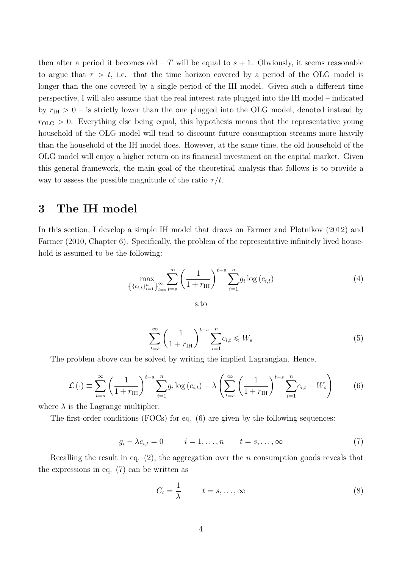then after a period it becomes old – T will be equal to  $s + 1$ . Obviously, it seems reasonable to argue that  $\tau > t$ , i.e. that the time horizon covered by a period of the OLG model is longer than the one covered by a single period of the IH model. Given such a different time perspective, I will also assume that the real interest rate plugged into the IH model – indicated by  $r_{\text{IH}} > 0$  – is strictly lower than the one plugged into the OLG model, denoted instead by  $r_{\text{OLG}} > 0$ . Everything else being equal, this hypothesis means that the representative young household of the OLG model will tend to discount future consumption streams more heavily than the household of the IH model does. However, at the same time, the old household of the OLG model will enjoy a higher return on its financial investment on the capital market. Given this general framework, the main goal of the theoretical analysis that follows is to provide a way to assess the possible magnitude of the ratio  $\tau/t$ .

#### **3 The IH model**

In this section, I develop a simple IH model that draws on Farmer and Plotnikov (2012) and Farmer (2010, Chapter 6). Specifically, the problem of the representative infinitely lived household is assumed to be the following:

$$
\max_{\left\{ \{c_{i,t}\}_{i=1}^n \right\}_{t=s}} \sum_{t=s}^{\infty} \left( \frac{1}{1+r_{\text{IH}}} \right)^{t-s} \sum_{i=1}^n g_i \log(c_{i,t}) \tag{4}
$$

s.to

$$
\sum_{t=s}^{\infty} \left(\frac{1}{1+r_{\text{IH}}}\right)^{t-s} \sum_{i=1}^{n} c_{i,t} \leqslant W_s \tag{5}
$$

The problem above can be solved by writing the implied Lagrangian. Hence,

$$
\mathcal{L}\left(\cdot\right) \equiv \sum_{t=s}^{\infty} \left(\frac{1}{1+r_{\text{IH}}}\right)^{t-s} \sum_{i=1}^{n} g_i \log\left(c_{i,t}\right) - \lambda \left(\sum_{t=s}^{\infty} \left(\frac{1}{1+r_{\text{IH}}}\right)^{t-s} \sum_{i=1}^{n} c_{i,t} - W_s\right) \tag{6}
$$

where  $\lambda$  is the Lagrange multiplier.

The first-order conditions (FOCs) for eq. (6) are given by the following sequences:

$$
g_i - \lambda c_{i,t} = 0 \qquad i = 1, \dots, n \qquad t = s, \dots, \infty \tag{7}
$$

Recalling the result in eq.  $(2)$ , the aggregation over the n consumption goods reveals that the expressions in eq. (7) can be written as

$$
C_t = \frac{1}{\lambda} \qquad t = s, \dots, \infty \tag{8}
$$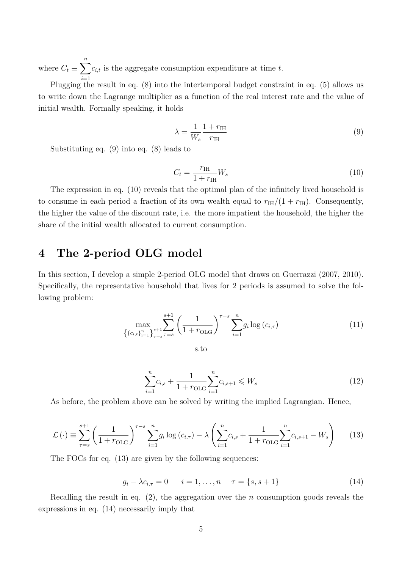where  $C_t \equiv \sum^n$  $i=1$  $c_{i,t}$  is the aggregate consumption expenditure at time t.

Plugging the result in eq. (8) into the intertemporal budget constraint in eq. (5) allows us to write down the Lagrange multiplier as a function of the real interest rate and the value of initial wealth. Formally speaking, it holds

$$
\lambda = \frac{1}{W_s} \frac{1 + r_{\text{IH}}}{r_{\text{IH}}} \tag{9}
$$

Substituting eq. (9) into eq. (8) leads to

$$
C_t = \frac{r_{\rm IH}}{1 + r_{\rm IH}} W_s \tag{10}
$$

The expression in eq. (10) reveals that the optimal plan of the infinitely lived household is to consume in each period a fraction of its own wealth equal to  $r_H/(1 + r_H)$ . Consequently, the higher the value of the discount rate, i.e. the more impatient the household, the higher the share of the initial wealth allocated to current consumption.

### **4 The 2-period OLG model**

In this section, I develop a simple 2-period OLG model that draws on Guerrazzi (2007, 2010). Specifically, the representative household that lives for 2 periods is assumed to solve the following problem:

$$
\max_{\left\{\{c_{i,t}\}_{i=1}^n\right\}_{\tau=s}} \sum_{\tau=s}^{s+1} \left(\frac{1}{1+r_{\text{OLG}}}\right)^{\tau-s} \sum_{i=1}^n g_i \log\left(c_{i,\tau}\right) \tag{11}
$$

s.to

$$
\sum_{i=1}^{n} c_{i,s} + \frac{1}{1 + r_{\text{OLG}}} \sum_{i=1}^{n} c_{i,s+1} \leqslant W_s \tag{12}
$$

As before, the problem above can be solved by writing the implied Lagrangian. Hence,

$$
\mathcal{L}\left(\cdot\right) \equiv \sum_{\tau=s}^{s+1} \left(\frac{1}{1+r_{\text{OLG}}}\right)^{\tau-s} \sum_{i=1}^{n} g_i \log\left(c_{i,\tau}\right) - \lambda \left(\sum_{i=1}^{n} c_{i,s} + \frac{1}{1+r_{\text{OLG}}}\sum_{i=1}^{n} c_{i,s+1} - W_s\right) \tag{13}
$$

The FOCs for eq. (13) are given by the following sequences:

$$
g_i - \lambda c_{i,\tau} = 0 \qquad i = 1, ..., n \qquad \tau = \{s, s+1\}
$$
 (14)

Recalling the result in eq.  $(2)$ , the aggregation over the *n* consumption goods reveals the expressions in eq. (14) necessarily imply that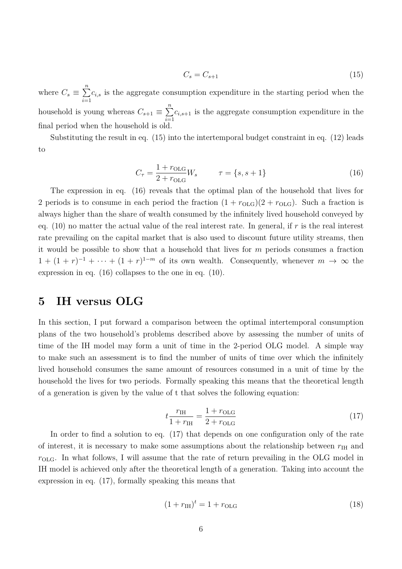$$
C_s = C_{s+1} \tag{15}
$$

where  $C_s \equiv \sum^n$  $i=1$  $c_{i,s}$  is the aggregate consumption expenditure in the starting period when the household is young whereas  $C_{s+1} \equiv \sum_{n=1}^{n}$  $i=1$  $c_{i,s+1}$  is the aggregate consumption expenditure in the final period when the household is old.

Substituting the result in eq. (15) into the intertemporal budget constraint in eq. (12) leads to

$$
C_{\tau} = \frac{1 + r_{\text{OLG}}}{2 + r_{\text{OLG}}} W_s \qquad \tau = \{s, s + 1\}
$$
 (16)

The expression in eq. (16) reveals that the optimal plan of the household that lives for 2 periods is to consume in each period the fraction  $(1 + r_{\text{OLG}})(2 + r_{\text{OLG}})$ . Such a fraction is always higher than the share of wealth consumed by the infinitely lived household conveyed by eq.  $(10)$  no matter the actual value of the real interest rate. In general, if r is the real interest rate prevailing on the capital market that is also used to discount future utility streams, then it would be possible to show that a household that lives for  $m$  periods consumes a fraction  $1 + (1 + r)^{-1} + \cdots + (1 + r)^{1-m}$  of its own wealth. Consequently, whenever  $m \to \infty$  the expression in eq. (16) collapses to the one in eq. (10).

#### **5 IH versus OLG**

In this section, I put forward a comparison between the optimal intertemporal consumption plans of the two household's problems described above by assessing the number of units of time of the IH model may form a unit of time in the 2-period OLG model. A simple way to make such an assessment is to find the number of units of time over which the infinitely lived household consumes the same amount of resources consumed in a unit of time by the household the lives for two periods. Formally speaking this means that the theoretical length of a generation is given by the value of t that solves the following equation:

$$
t\frac{r_{\text{IH}}}{1+r_{\text{IH}}} = \frac{1+r_{\text{OLG}}}{2+r_{\text{OLG}}}
$$
\n(17)

In order to find a solution to eq. (17) that depends on one configuration only of the rate of interest, it is necessary to make some assumptions about the relationship between  $r_{\text{IH}}$  and  $r<sub>OLG</sub>$ . In what follows, I will assume that the rate of return prevailing in the OLG model in IH model is achieved only after the theoretical length of a generation. Taking into account the expression in eq. (17), formally speaking this means that

$$
(1 + r_{\text{IH}})^t = 1 + r_{\text{OLG}} \tag{18}
$$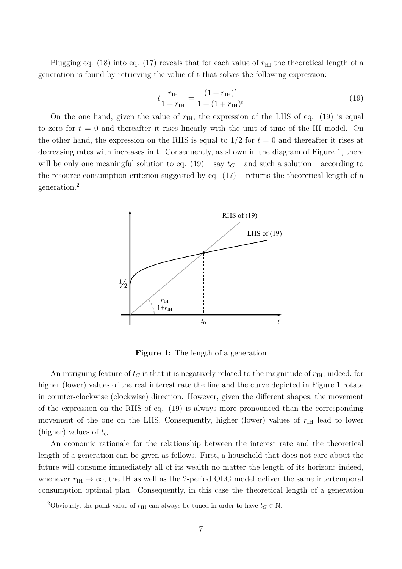Plugging eq. (18) into eq. (17) reveals that for each value of  $r_{\text{HI}}$  the theoretical length of a generation is found by retrieving the value of t that solves the following expression:

$$
t\frac{r_{\text{IH}}}{1+r_{\text{IH}}} = \frac{(1+r_{\text{IH}})^t}{1+(1+r_{\text{IH}})^t}
$$
(19)

On the one hand, given the value of  $r_{\text{IH}}$ , the expression of the LHS of eq. (19) is equal to zero for  $t = 0$  and thereafter it rises linearly with the unit of time of the IH model. On the other hand, the expression on the RHS is equal to  $1/2$  for  $t = 0$  and thereafter it rises at decreasing rates with increases in t. Consequently, as shown in the diagram of Figure 1, there will be only one meaningful solution to eq.  $(19)$  – say  $t<sub>G</sub>$  – and such a solution – according to the resource consumption criterion suggested by eq.  $(17)$  – returns the theoretical length of a generation.<sup>2</sup>



**Figure 1:** The length of a generation

An intriguing feature of  $t_G$  is that it is negatively related to the magnitude of  $r_{\text{IH}}$ ; indeed, for higher (lower) values of the real interest rate the line and the curve depicted in Figure 1 rotate in counter-clockwise (clockwise) direction. However, given the different shapes, the movement of the expression on the RHS of eq. (19) is always more pronounced than the corresponding movement of the one on the LHS. Consequently, higher (lower) values of  $r<sub>IH</sub>$  lead to lower (higher) values of  $t_G$ .

An economic rationale for the relationship between the interest rate and the theoretical length of a generation can be given as follows. First, a household that does not care about the future will consume immediately all of its wealth no matter the length of its horizon: indeed, whenever  $r_H \rightarrow \infty$ , the IH as well as the 2-period OLG model deliver the same intertemporal consumption optimal plan. Consequently, in this case the theoretical length of a generation

<sup>&</sup>lt;sup>2</sup>Obviously, the point value of  $r_{\text{IH}}$  can always be tuned in order to have  $t_G \in \mathbb{N}$ .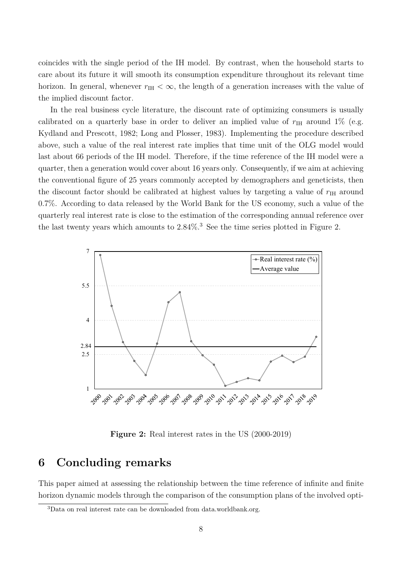coincides with the single period of the IH model. By contrast, when the household starts to care about its future it will smooth its consumption expenditure throughout its relevant time horizon. In general, whenever  $r_{\text{IH}} < \infty$ , the length of a generation increases with the value of the implied discount factor.

In the real business cycle literature, the discount rate of optimizing consumers is usually calibrated on a quarterly base in order to deliver an implied value of  $r_{\text{IH}}$  around 1% (e.g. Kydland and Prescott, 1982; Long and Plosser, 1983). Implementing the procedure described above, such a value of the real interest rate implies that time unit of the OLG model would last about 66 periods of the IH model. Therefore, if the time reference of the IH model were a quarter, then a generation would cover about 16 years only. Consequently, if we aim at achieving the conventional figure of 25 years commonly accepted by demographers and geneticists, then the discount factor should be calibrated at highest values by targeting a value of  $r_{\text{IH}}$  around 0.7%. According to data released by the World Bank for the US economy, such a value of the quarterly real interest rate is close to the estimation of the corresponding annual reference over the last twenty years which amounts to 2.84%. <sup>3</sup> See the time series plotted in Figure 2.



**Figure 2:** Real interest rates in the US (2000-2019)

### **6 Concluding remarks**

This paper aimed at assessing the relationship between the time reference of infinite and finite horizon dynamic models through the comparison of the consumption plans of the involved opti-

<sup>3</sup>Data on real interest rate can be downloaded from data.worldbank.org.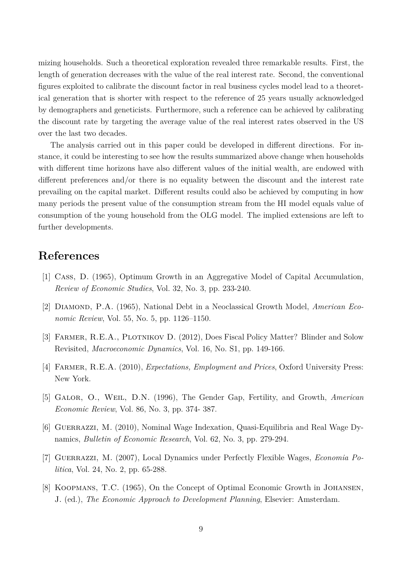mizing households. Such a theoretical exploration revealed three remarkable results. First, the length of generation decreases with the value of the real interest rate. Second, the conventional figures exploited to calibrate the discount factor in real business cycles model lead to a theoretical generation that is shorter with respect to the reference of 25 years usually acknowledged by demographers and geneticists. Furthermore, such a reference can be achieved by calibrating the discount rate by targeting the average value of the real interest rates observed in the US over the last two decades.

The analysis carried out in this paper could be developed in different directions. For instance, it could be interesting to see how the results summarized above change when households with different time horizons have also different values of the initial wealth, are endowed with different preferences and/or there is no equality between the discount and the interest rate prevailing on the capital market. Different results could also be achieved by computing in how many periods the present value of the consumption stream from the HI model equals value of consumption of the young household from the OLG model. The implied extensions are left to further developments.

#### **References**

- [1] Cass, D. (1965), Optimum Growth in an Aggregative Model of Capital Accumulation, *Review of Economic Studies*, Vol. 32, No. 3, pp. 233-240.
- [2] Diamond, P.A. (1965), National Debt in a Neoclassical Growth Model, *American Economic Review*, Vol. 55, No. 5, pp. 1126–1150.
- [3] FARMER, R.E.A., PLOTNIKOV D. (2012), Does Fiscal Policy Matter? Blinder and Solow Revisited, *Macroeconomic Dynamics*, Vol. 16, No. S1, pp. 149-166.
- [4] Farmer, R.E.A. (2010), *Expectations, Employment and Prices*, Oxford University Press: New York.
- [5] Galor, O., Weil, D.N. (1996), The Gender Gap, Fertility, and Growth, *American Economic Review*, Vol. 86, No. 3, pp. 374- 387.
- [6] Guerrazzi, M. (2010), Nominal Wage Indexation, Quasi-Equilibria and Real Wage Dynamics, *Bulletin of Economic Research*, Vol. 62, No. 3, pp. 279-294.
- [7] Guerrazzi, M. (2007), Local Dynamics under Perfectly Flexible Wages, *Economia Politica*, Vol. 24, No. 2, pp. 65-288.
- [8] KOOPMANS, T.C. (1965), On the Concept of Optimal Economic Growth in JOHANSEN, J. (ed.), *The Economic Approach to Development Planning*, Elsevier: Amsterdam.